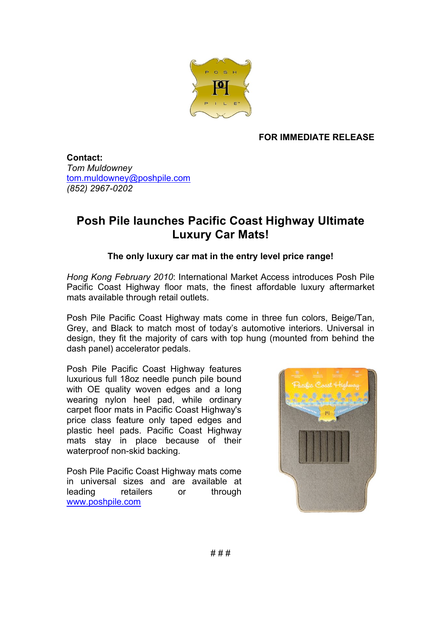

## **FOR IMMEDIATE RELEASE**

**Contact:** *Tom Muldowney* tom.muldowney@poshpile.com *(852) 2967-0202*

## **Posh Pile launches Pacific Coast Highway Ultimate Luxury Car Mats!**

## **The only luxury car mat in the entry level price range!**

*Hong Kong February 2010*: International Market Access introduces Posh Pile Pacific Coast Highway floor mats, the finest affordable luxury aftermarket mats available through retail outlets.

Posh Pile Pacific Coast Highway mats come in three fun colors, Beige/Tan, Grey, and Black to match most of today's automotive interiors. Universal in design, they fit the majority of cars with top hung (mounted from behind the dash panel) accelerator pedals.

Posh Pile Pacific Coast Highway features luxurious full 18oz needle punch pile bound with OE quality woven edges and a long wearing nylon heel pad, while ordinary carpet floor mats in Pacific Coast Highway's price class feature only taped edges and plastic heel pads. Pacific Coast Highway mats stay in place because of their waterproof non-skid backing.

Posh Pile Pacific Coast Highway mats come in universal sizes and are available at leading retailers or through www.poshpile.com